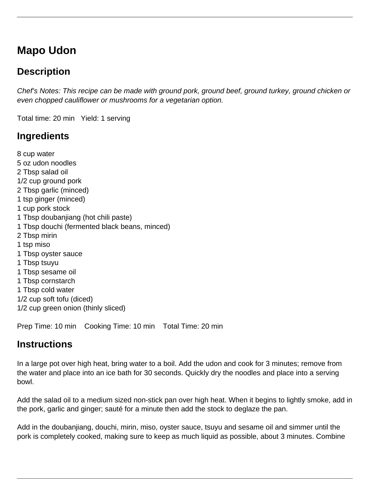# **Mapo Udon**

## **Description**

Chef's Notes: This recipe can be made with ground pork, ground beef, ground turkey, ground chicken or even chopped cauliflower or mushrooms for a vegetarian option.

Total time: 20 min Yield: 1 serving

## **Ingredients**

8 cup water 5 oz udon noodles 2 Tbsp salad oil 1/2 cup ground pork 2 Tbsp garlic (minced) 1 tsp ginger (minced) 1 cup pork stock 1 Tbsp doubanjiang (hot chili paste) 1 Tbsp douchi (fermented black beans, minced) 2 Tbsp mirin 1 tsp miso 1 Tbsp oyster sauce 1 Tbsp tsuyu 1 Tbsp sesame oil 1 Tbsp cornstarch 1 Tbsp cold water 1/2 cup soft tofu (diced) 1/2 cup green onion (thinly sliced)

Prep Time: 10 min Cooking Time: 10 min Total Time: 20 min

#### **Instructions**

In a large pot over high heat, bring water to a boil. Add the udon and cook for 3 minutes; remove from the water and place into an ice bath for 30 seconds. Quickly dry the noodles and place into a serving bowl.

Add the salad oil to a medium sized non-stick pan over high heat. When it begins to lightly smoke, add in the pork, garlic and ginger; sauté for a minute then add the stock to deglaze the pan.

Add in the doubanjiang, douchi, mirin, miso, oyster sauce, tsuyu and sesame oil and simmer until the pork is completely cooked, making sure to keep as much liquid as possible, about 3 minutes. Combine